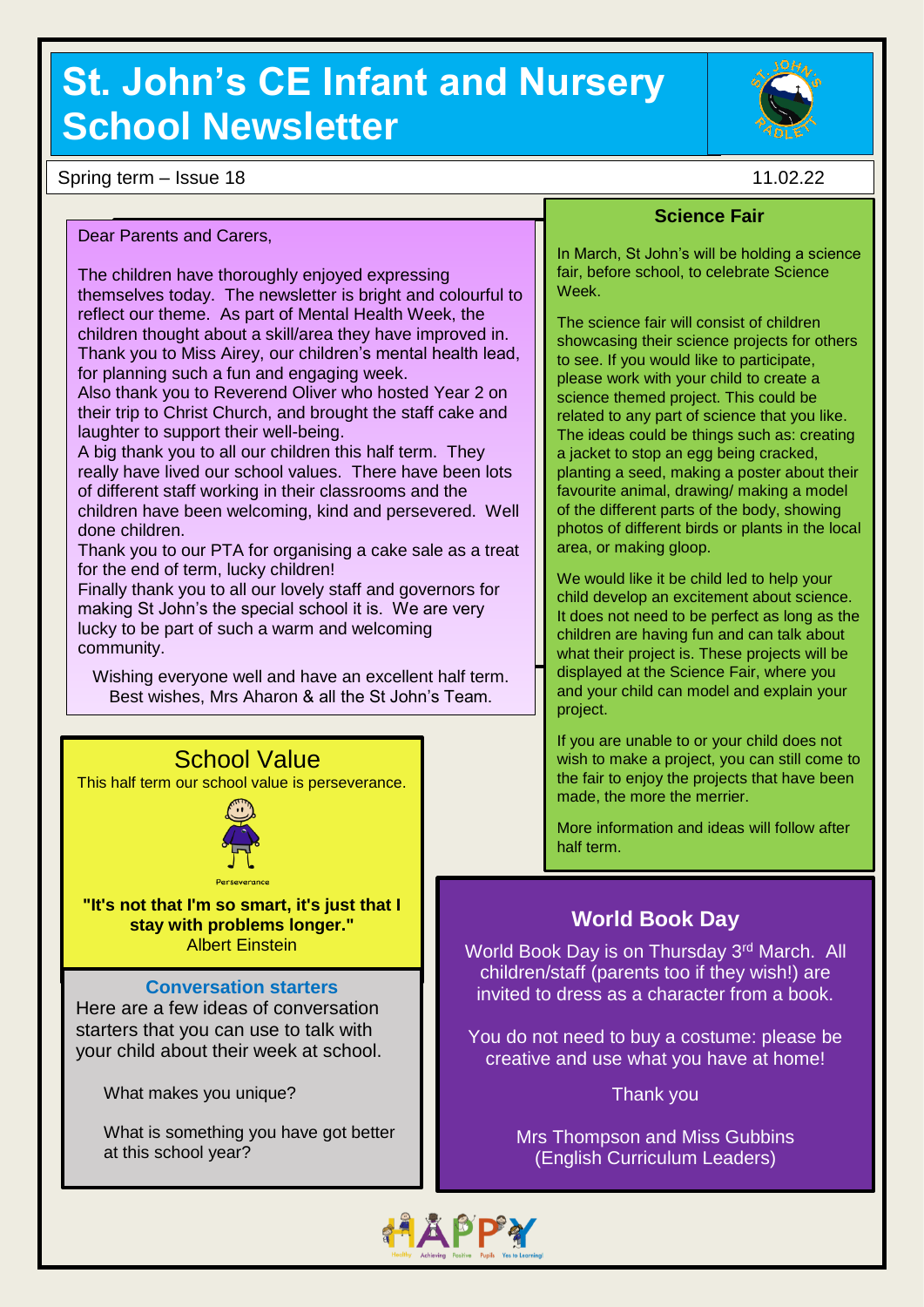# **St. John's CE Infant and Nursery School Newsletter**

Spring term – Issue 18 11.02.22

Dear Parents and Carers,

The children have thoroughly enjoyed expressing themselves today. The newsletter is bright and colourful to reflect our theme. As part of Mental Health Week, the children thought about a skill/area they have improved in. Thank you to Miss Airey, our children's mental health lead, for planning such a fun and engaging week.

Also thank you to Reverend Oliver who hosted Year 2 on their trip to Christ Church, and brought the staff cake and laughter to support their well-being.

A big thank you to all our children this half term. They really have lived our school values. There have been lots of different staff working in their classrooms and the children have been welcoming, kind and persevered. Well done children.

Thank you to our PTA for organising a cake sale as a treat for the end of term, lucky children!

Finally thank you to all our lovely staff and governors for making St John's the special school it is. We are very lucky to be part of such a warm and welcoming community.

Wishing everyone well and have an excellent half term. Best wishes, Mrs Aharon & all the St John's Team.



This half term our school value is perseverance.



**"It's not that I'm so smart, it's just that I stay with problems longer."** Albert Einstein

#### **Conversation starters**

Here are a few ideas of conversation starters that you can use to talk with your child about their week at school.

What makes you unique?

What is something you have got better at this school year?

### **Science Fair**

In March, St John's will be holding a science fair, before school, to celebrate Science Week.

The science fair will consist of children showcasing their science projects for others to see. If you would like to participate, please work with your child to create a science themed project. This could be related to any part of science that you like. The ideas could be things such as: creating a jacket to stop an egg being cracked. planting a seed, making a poster about their favourite animal, drawing/ making a model of the different parts of the body, showing photos of different birds or plants in the local area, or making gloop.

We would like it be child led to help your child develop an excitement about science. It does not need to be perfect as long as the children are having fun and can talk about what their project is. These projects will be displayed at the Science Fair, where you and your child can model and explain your project.

If you are unable to or your child does not wish to make a project, you can still come to the fair to enjoy the projects that have been made, the more the merrier.

More information and ideas will follow after half term.

### **World Book Day**

World Book Day is on Thursday 3<sup>rd</sup> March. All children/staff (parents too if they wish!) are invited to dress as a character from a book.

You do not need to buy a costume: please be creative and use what you have at home!

Thank you

Mrs Thompson and Miss Gubbins (English Curriculum Leaders)

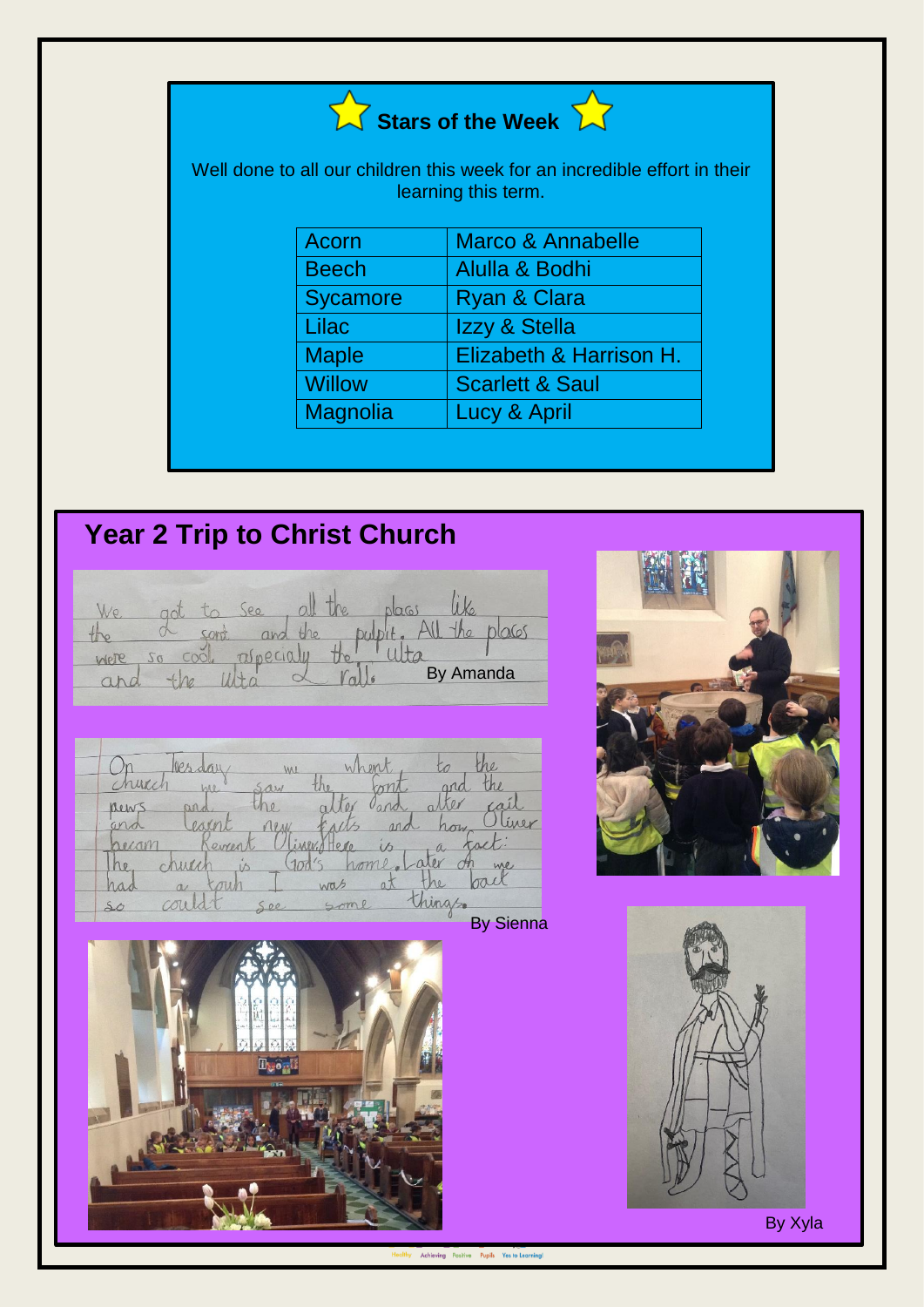

Well done to all our children this week for an incredible effort in their learning this term.

| Acorn           | Marco & Annabelle          |
|-----------------|----------------------------|
| <b>Beech</b>    | Alulla & Bodhi             |
| <b>Sycamore</b> | Ryan & Clara               |
| Lilac           | Izzy & Stella              |
| <b>Maple</b>    | Elizabeth & Harrison H.    |
| <b>Willow</b>   | <b>Scarlett &amp; Saul</b> |
| <b>Magnolia</b> | Lucy & April               |

## **Year 2 Trip to Christ Church**

|                          |            |        | ee |  |  |           |    |  |
|--------------------------|------------|--------|----|--|--|-----------|----|--|
|                          | $\tilde{}$ |        |    |  |  |           | 65 |  |
| Were                     |            | $-1/2$ |    |  |  |           |    |  |
| $\overline{\mathcal{L}}$ |            |        |    |  |  | By Amanda |    |  |

|                |          | WU        |     |            |                     |                  |
|----------------|----------|-----------|-----|------------|---------------------|------------------|
| hurch          | MP-      | arn       |     |            |                     |                  |
| Dew:           | ard      |           |     |            |                     |                  |
| 0 <sup>m</sup> |          | $VQ_{AA}$ |     | nn         | now                 | iner             |
| necar          |          |           |     |            |                     |                  |
| 10             | ŕ.       |           |     |            |                     | we.              |
|                | $\alpha$ |           | was | $a\lambda$ | he                  |                  |
| 50             |          | $00 -$    |     |            | <i><b>Va/20</b></i> |                  |
|                |          |           |     |            |                     | <b>By Sienna</b> |







By Xyla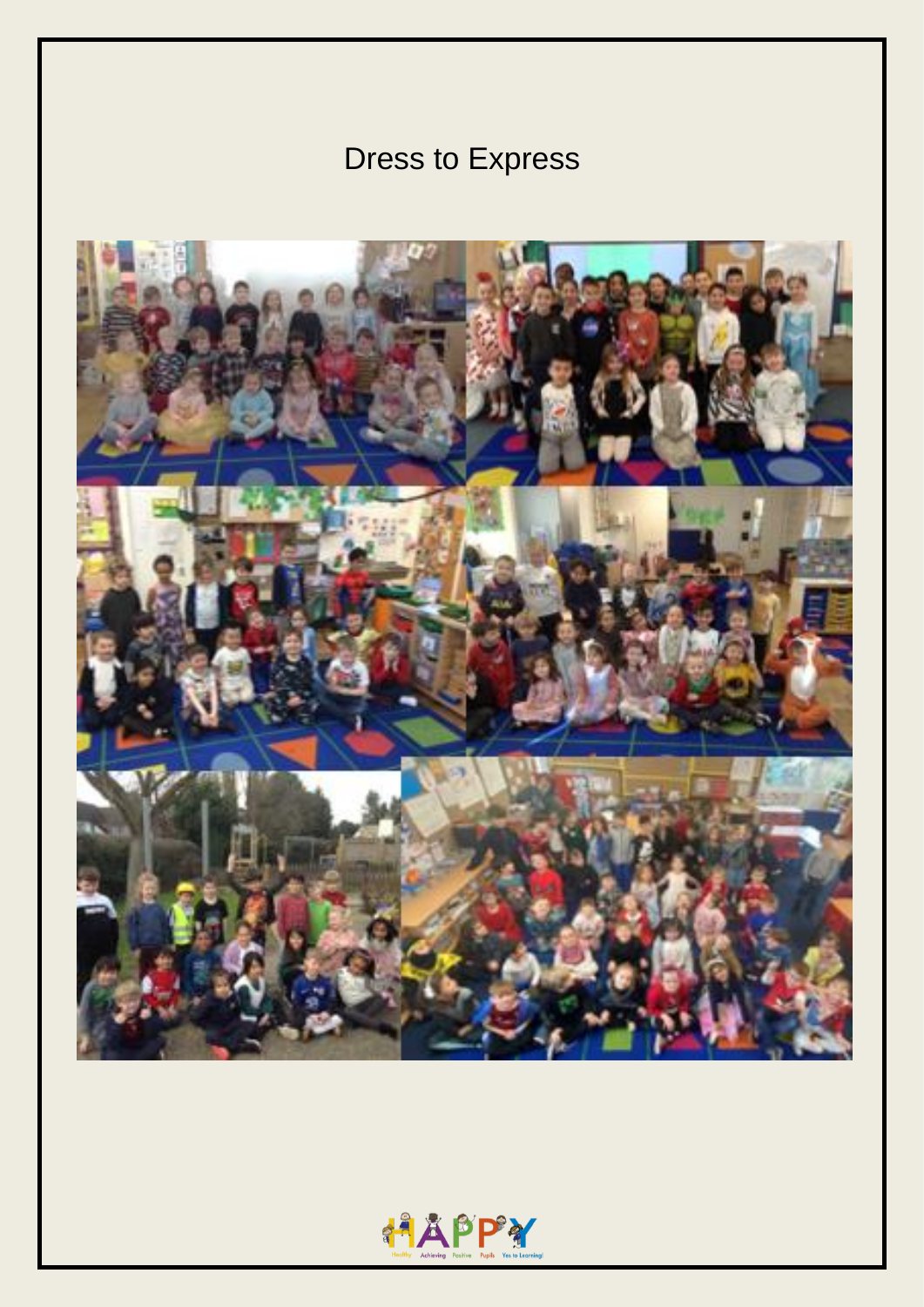## Dress to Express